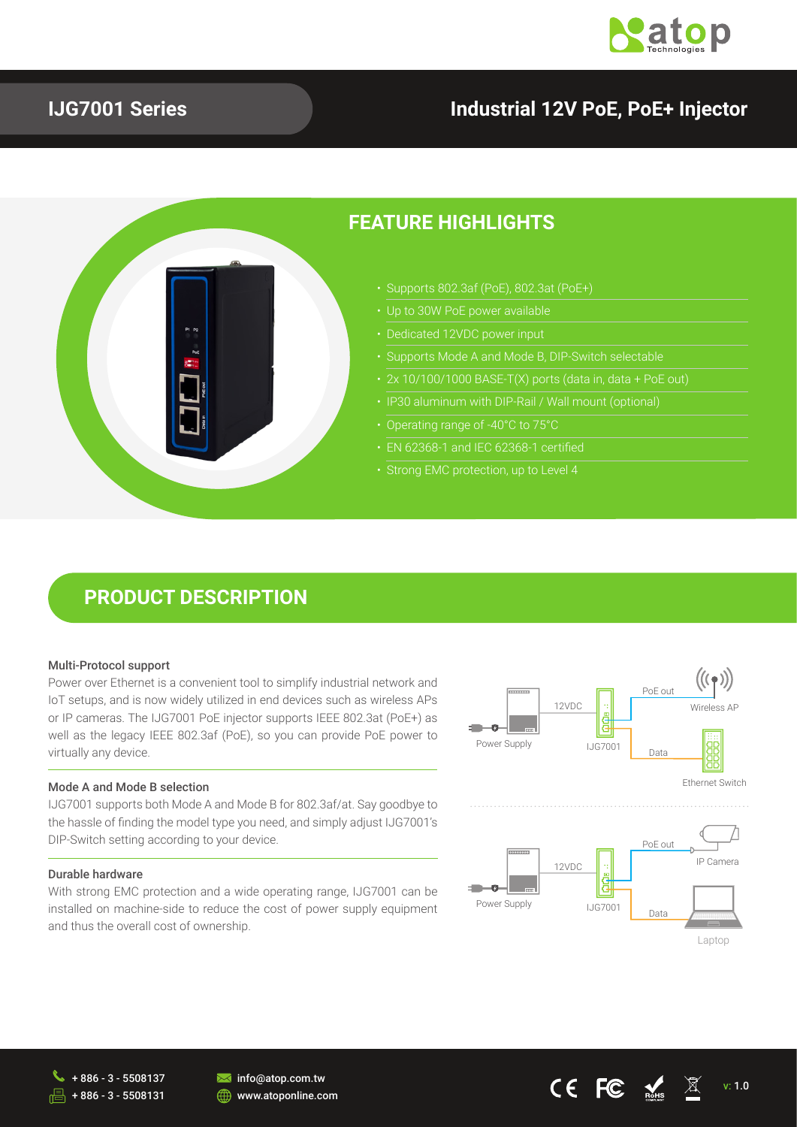

### **IJG7001 Series**

### **Industrial 12V PoE, PoE+ Injector**



### **PRODUCT DESCRIPTION**

#### Multi-Protocol support

Power over Ethernet is a convenient tool to simplify industrial network and IoT setups, and is now widely utilized in end devices such as wireless APs or IP cameras. The IJG7001 PoE injector supports IEEE 802.3at (PoE+) as well as the legacy IEEE 802.3af (PoE), so you can provide PoE power to virtually any device.

#### Mode A and Mode B selection

IJG7001 supports both Mode A and Mode B for 802.3af/at. Say goodbye to the hassle of finding the model type you need, and simply adjust IJG7001's DIP-Switch setting according to your device.

#### Durable hardware

With strong EMC protection and a wide operating range, IJG7001 can be installed on machine-side to reduce the cost of power supply equipment and thus the overall cost of ownership.





+ 886 - 3 - 5508131



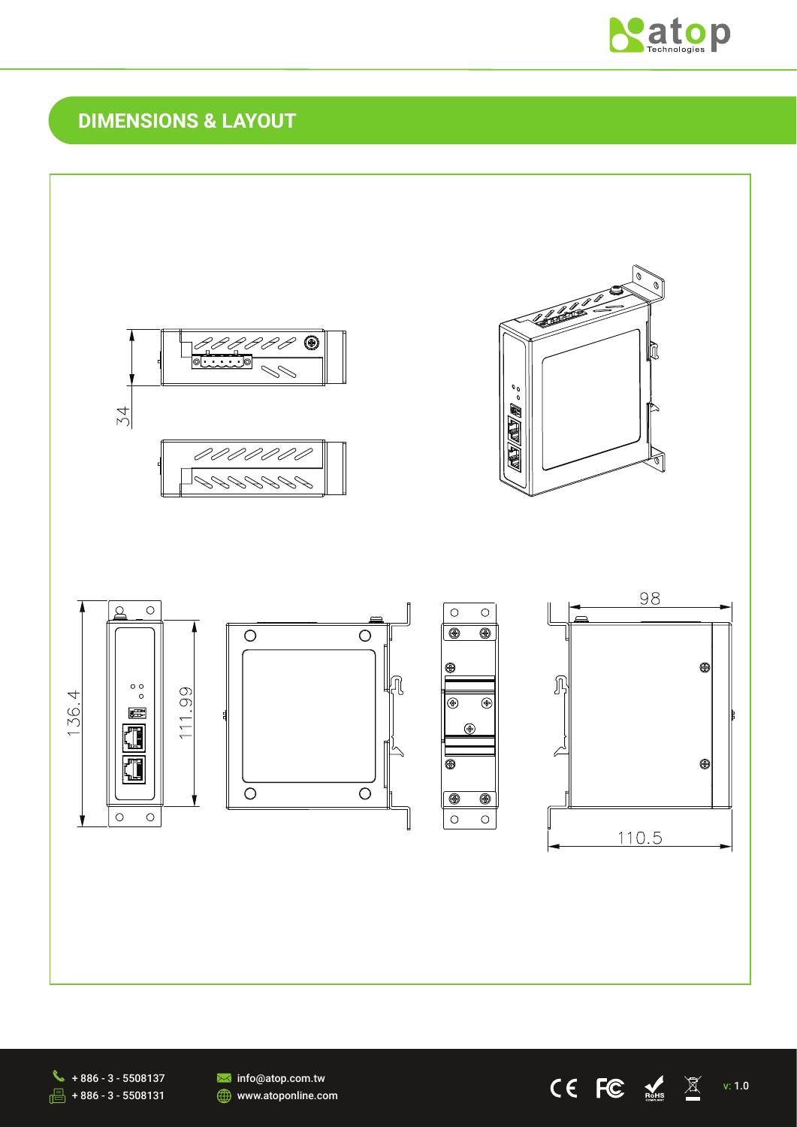

## **DIMENSIONS & LAYOUT**



 $\begin{array}{ccc}\n\bigcirc\negthinspace\leftarrow\negthinspace\leftarrow\negthinspace\leftarrow\negthinspace\leftarrow\negthinspace\leftarrow\negthinspace\leftarrow\negthinspace\leftarrow\negthinspace\leftarrow\negthinspace\leftarrow\negthinspace\leftarrow\negthinspace\leftarrow\negthinspace\leftarrow\negthinspace\leftarrow\negthinspace\leftarrow\negthinspace\leftarrow\negthinspace\leftarrow\negthinspace\leftarrow\negthinspace\leftarrow\negthinspace\leftarrow\negthinspace\leftarrow\negthinspace\leftarrow\negthinspace\leftarrow\negthinspace\leftarrow\negthinspace\leftarrow\negthinspace\leftarrow\negthinspace\leftarrow\negthinspace\leftarrow\negthinspace\leftarrow\negthinspace\leftarrow\negthinspace\left$  $\sqrt{5}$  + 886 - 3 - 5508131

**M** info@atop.com.tw **WWW.atoponline.com**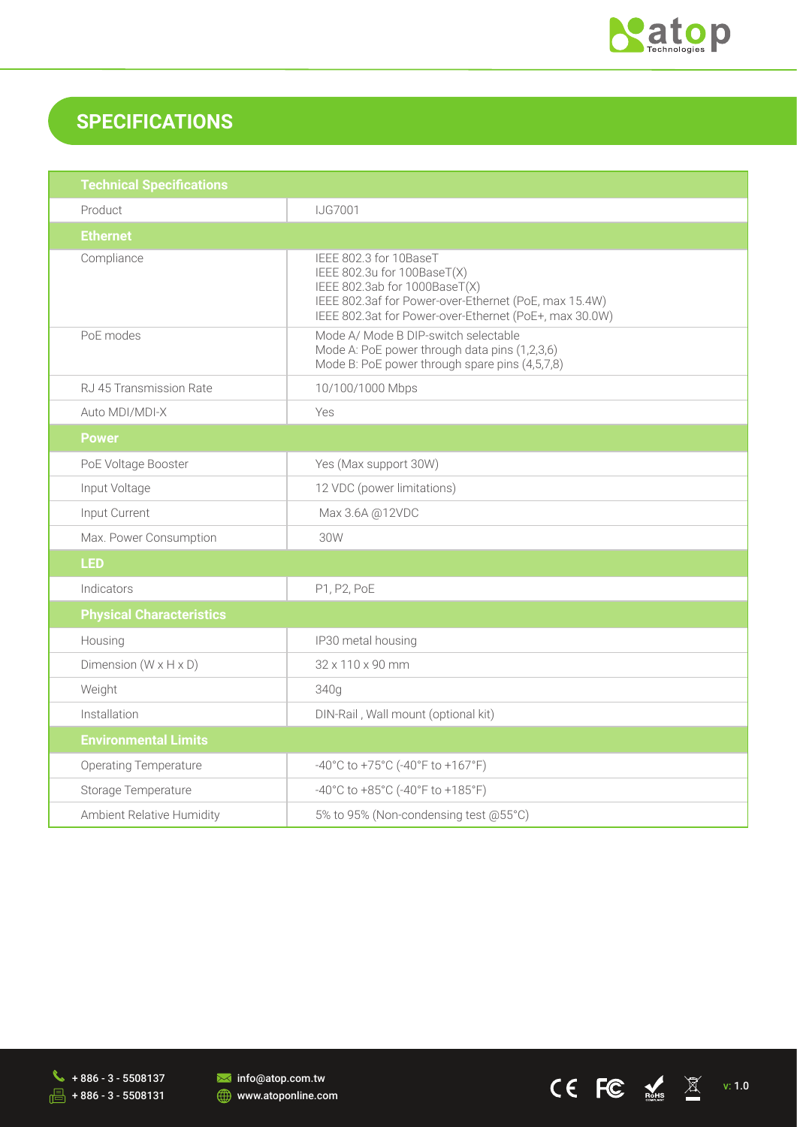

## **SPECIFICATIONS**

| <b>Technical Specifications</b>   |                                                                                                                                                                                                           |  |
|-----------------------------------|-----------------------------------------------------------------------------------------------------------------------------------------------------------------------------------------------------------|--|
| Product                           | <b>IJG7001</b>                                                                                                                                                                                            |  |
| <b>Ethernet</b>                   |                                                                                                                                                                                                           |  |
| Compliance                        | IEEE 802.3 for 10BaseT<br>IEEE 802.3u for 100BaseT(X)<br>IEEE 802.3ab for 1000BaseT(X)<br>IEEE 802.3af for Power-over-Ethernet (PoE, max 15.4W)<br>IEEE 802.3at for Power-over-Ethernet (PoE+, max 30.0W) |  |
| PoE modes                         | Mode A/ Mode B DIP-switch selectable<br>Mode A: PoE power through data pins (1,2,3,6)<br>Mode B: PoE power through spare pins (4,5,7,8)                                                                   |  |
| RJ 45 Transmission Rate           | 10/100/1000 Mbps                                                                                                                                                                                          |  |
| Auto MDI/MDI-X                    | Yes                                                                                                                                                                                                       |  |
| <b>Power</b>                      |                                                                                                                                                                                                           |  |
| PoE Voltage Booster               | Yes (Max support 30W)                                                                                                                                                                                     |  |
| Input Voltage                     | 12 VDC (power limitations)                                                                                                                                                                                |  |
| Input Current                     | Max 3.6A @12VDC                                                                                                                                                                                           |  |
| Max. Power Consumption            | 30W                                                                                                                                                                                                       |  |
| <b>LED</b>                        |                                                                                                                                                                                                           |  |
| Indicators                        | P1, P2, PoE                                                                                                                                                                                               |  |
| <b>Physical Characteristics</b>   |                                                                                                                                                                                                           |  |
| Housing                           | IP30 metal housing                                                                                                                                                                                        |  |
| Dimension $(W \times H \times D)$ | 32 x 110 x 90 mm                                                                                                                                                                                          |  |
| Weight                            | 340g                                                                                                                                                                                                      |  |
| Installation                      | DIN-Rail, Wall mount (optional kit)                                                                                                                                                                       |  |
| <b>Environmental Limits</b>       |                                                                                                                                                                                                           |  |
| <b>Operating Temperature</b>      | -40°C to +75°C (-40°F to +167°F)                                                                                                                                                                          |  |
| Storage Temperature               | -40°C to +85°C (-40°F to +185°F)                                                                                                                                                                          |  |
| Ambient Relative Humidity         | 5% to 95% (Non-condensing test @55°C)                                                                                                                                                                     |  |





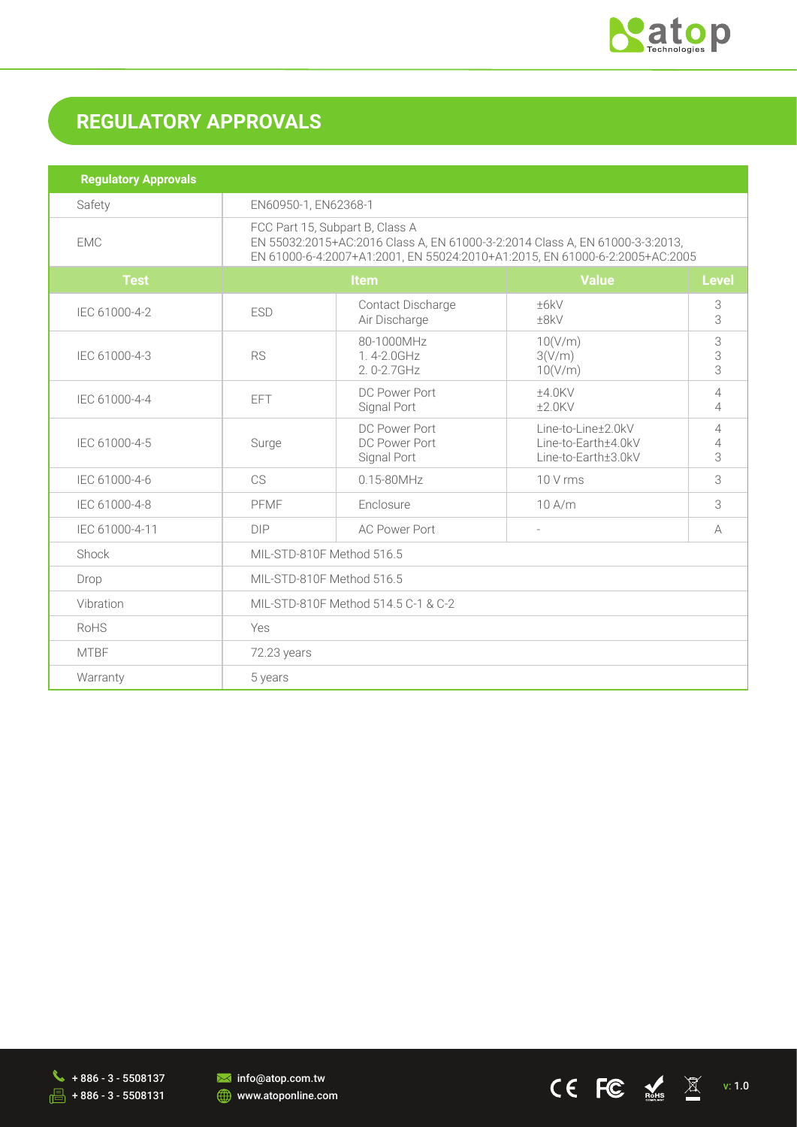

# **REGULATORY APPROVALS**

| <b>Regulatory Approvals</b> |                                                                                                                                                                                                |                                                    |                                                                  |                                  |  |
|-----------------------------|------------------------------------------------------------------------------------------------------------------------------------------------------------------------------------------------|----------------------------------------------------|------------------------------------------------------------------|----------------------------------|--|
| Safety                      | EN60950-1, EN62368-1                                                                                                                                                                           |                                                    |                                                                  |                                  |  |
| <b>EMC</b>                  | FCC Part 15, Subpart B, Class A<br>EN 55032:2015+AC:2016 Class A, EN 61000-3-2:2014 Class A, EN 61000-3-3:2013,<br>EN 61000-6-4:2007+A1:2001, EN 55024:2010+A1:2015, EN 61000-6-2:2005+AC:2005 |                                                    |                                                                  |                                  |  |
| <b>Test</b>                 | Item                                                                                                                                                                                           |                                                    | <b>Value</b>                                                     | <b>Level</b>                     |  |
| IEC 61000-4-2               | <b>ESD</b>                                                                                                                                                                                     | Contact Discharge<br>±6kV<br>Air Discharge<br>±8kV |                                                                  | 3<br>3                           |  |
| IEC 61000-4-3               | <b>RS</b>                                                                                                                                                                                      | 80-1000MHz<br>1.4-2.0GHz<br>2.0-2.7GHz             | 10(V/m)<br>3(V/m)<br>10(V/m)                                     | 3<br>3<br>3                      |  |
| IEC 61000-4-4               | <b>EFT</b>                                                                                                                                                                                     | DC Power Port<br>Signal Port                       | ±4.0KV<br>$±2.0$ KV                                              | $\overline{4}$<br>$\overline{4}$ |  |
| IEC 61000-4-5               | Surge                                                                                                                                                                                          | DC Power Port<br>DC Power Port<br>Signal Port      | Line-to-Line±2.0kV<br>Line-to-Earth±4.0kV<br>Line-to-Earth±3.0kV | $\overline{4}$<br>4<br>3         |  |
| IEC 61000-4-6               | CS                                                                                                                                                                                             | $0.15 - 80$ MHz                                    | 10 V rms                                                         | 3                                |  |
| IEC 61000-4-8               | PFMF                                                                                                                                                                                           | Enclosure                                          | 10 A/m                                                           | 3                                |  |
| IEC 61000-4-11              | <b>DIP</b>                                                                                                                                                                                     | <b>AC Power Port</b><br>$\overline{a}$             |                                                                  | A                                |  |
| Shock                       | MIL-STD-810F Method 516.5                                                                                                                                                                      |                                                    |                                                                  |                                  |  |
| Drop                        | MIL-STD-810F Method 516.5                                                                                                                                                                      |                                                    |                                                                  |                                  |  |
| Vibration                   | MIL-STD-810F Method 514.5 C-1 & C-2                                                                                                                                                            |                                                    |                                                                  |                                  |  |
| <b>RoHS</b>                 | Yes                                                                                                                                                                                            |                                                    |                                                                  |                                  |  |
| <b>MTBF</b>                 | 72.23 years                                                                                                                                                                                    |                                                    |                                                                  |                                  |  |
| Warranty                    | 5 years                                                                                                                                                                                        |                                                    |                                                                  |                                  |  |